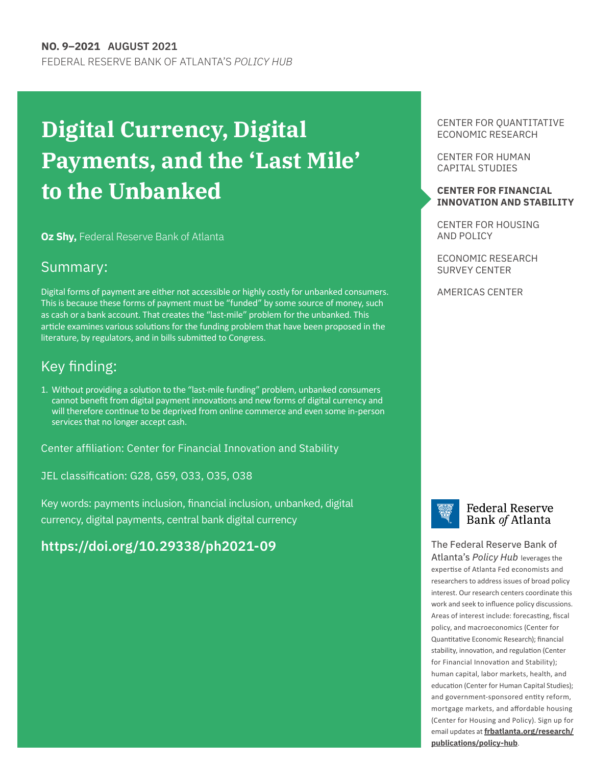# **Digital Currency, Digital Payments, and the 'Last Mile' to the Unbanked**

**Oz Shy,** Federal Reserve Bank of Atlanta

### Summary:

Digital forms of payment are either not accessible or highly costly for unbanked consumers. This is because these forms of payment must be "funded" by some source of money, such as cash or a bank account. That creates the "last-mile" problem for the unbanked. This article examines various solutions for the funding problem that have been proposed in the literature, by regulators, and in bills submitted to Congress.

# Key finding:

1. Without providing a solution to the "last-mile funding" problem, unbanked consumers cannot benefit from digital payment innovations and new forms of digital currency and will therefore continue to be deprived from online commerce and even some in-person services that no longer accept cash.

Center affiliation: Center for Financial Innovation and Stability

JEL classification: G28, G59, O33, O35, O38

Key words: payments inclusion, financial inclusion, unbanked, digital currency, digital payments, central bank digital currency

## **[https:/](https://doi.org/10.29338/ph2020-11)[/doi.org/10.29338/ph2021-09](https://doi.org/10.29338/ph2021-09)**

CENTER FOR QUANTITATIVE ECONOMIC RESEARCH

[CENTER FOR HUMAN](https://www.frbatlanta.org/chcs#:~:text=The%20Center%20for%20Human%20Capital,and%20outside%20the%20Atlanta%20Fed.) [CAPITAL STUDIES](https://www.frbatlanta.org/chcs#:~:text=The%20Center%20for%20Human%20Capital,and%20outside%20the%20Atlanta%20Fed.)

#### **CENTER FOR FINANCIAL INNOVATION AND STABILITY**

CENTER FOR HOUSING AND POLICY

[ECONOMIC RESEARCH](https://www.frbatlanta.org/research/surveys.aspx)  SURVEY CENTER

AMERICAS CENTER



The Federal Reserve Bank of Atlanta's *Policy Hub* leverages the expertise of Atlanta Fed economists and researchers to address issues of broad policy interest. Our research centers coordinate this work and seek to influence policy discussions. Areas of interest include: forecasting, fiscal policy, and macroeconomics (Center for Quantitative Economic Research); financial stability, innovation, and regulation (Center for Financial Innovation and Stability); human capital, labor markets, health, and education (Center for Human Capital Studies); and government-sponsored entity reform, mortgage markets, and affordable housing (Center for Housing and Policy). Sign up for email updates at **[frbatlanta.org/research/](http://frbatlanta.org/research/publications/policy-hub) [publications/policy-hub](http://frbatlanta.org/research/publications/policy-hub)**.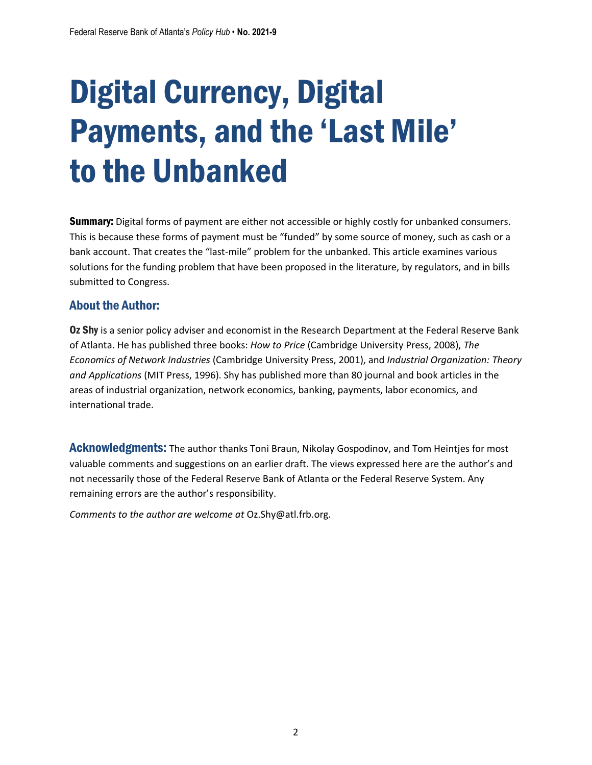# Digital Currency, Digital Payments, and the 'Last Mile' to the Unbanked

**Summary:** Digital forms of payment are either not accessible or highly costly for unbanked consumers. This is because these forms of payment must be "funded" by some source of money, such as cash or a bank account. That creates the "last-mile" problem for the unbanked. This article examines various solutions for the funding problem that have been proposed in the literature, by regulators, and in bills submitted to Congress.

#### About the Author:

Oz Shy is a senior policy adviser and economist in the Research Department at the Federal Reserve Bank of Atlanta. He has published three books: *How to Price* (Cambridge University Press, 2008), *The Economics of Network Industries* (Cambridge University Press, 2001), and *Industrial Organization: Theory and Applications* (MIT Press, 1996). Shy has published more than 80 journal and book articles in the areas of industrial organization, network economics, banking, payments, labor economics, and international trade.

Acknowledgments: The author thanks Toni Braun, Nikolay Gospodinov, and Tom Heintjes for most valuable comments and suggestions on an earlier draft. The views expressed here are the author's and not necessarily those of the Federal Reserve Bank of Atlanta or the Federal Reserve System. Any remaining errors are the author's responsibility.

*Comments to the author are welcome at* Oz.Shy@atl.frb.org*.*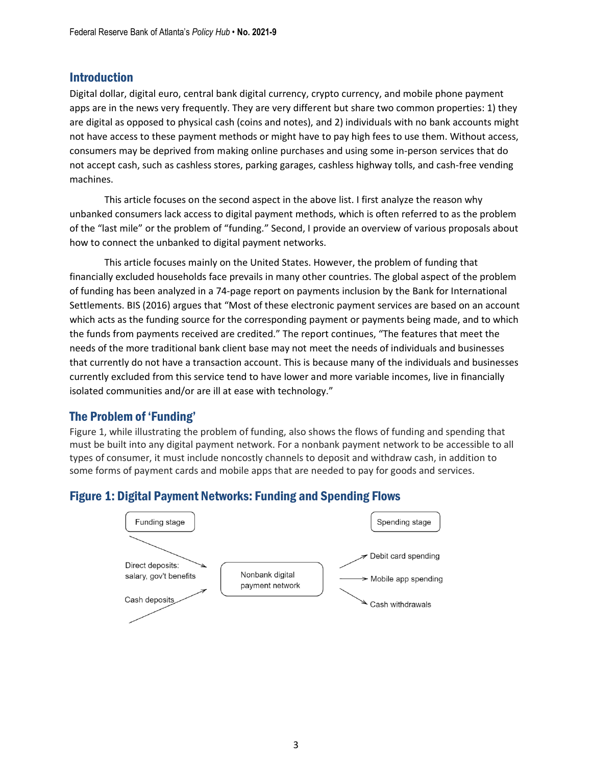#### Introduction

Digital dollar, digital euro, central bank digital currency, crypto currency, and mobile phone payment apps are in the news very frequently. They are very different but share two common properties: 1) they are digital as opposed to physical cash (coins and notes), and 2) individuals with no bank accounts might not have access to these payment methods or might have to pay high fees to use them. Without access, consumers may be deprived from making online purchases and using some in-person services that do not accept cash, such as cashless stores, parking garages, cashless highway tolls, and cash-free vending machines.

This article focuses on the second aspect in the above list. I first analyze the reason why unbanked consumers lack access to digital payment methods, which is often referred to as the problem of the "last mile" or the problem of "funding." Second, I provide an overview of various proposals about how to connect the unbanked to digital payment networks.

This article focuses mainly on the United States. However, the problem of funding that financially excluded households face prevails in many other countries. The global aspect of the problem of funding has been analyzed in a 74-page report on payments inclusion by the Bank for International Settlements. BIS (2016) argues that "Most of these electronic payment services are based on an account which acts as the funding source for the corresponding payment or payments being made, and to which the funds from payments received are credited." The report continues, "The features that meet the needs of the more traditional bank client base may not meet the needs of individuals and businesses that currently do not have a transaction account. This is because many of the individuals and businesses currently excluded from this service tend to have lower and more variable incomes, live in financially isolated communities and/or are ill at ease with technology."

#### The Problem of 'Funding'

Figure 1, while illustrating the problem of funding, also shows the flows of funding and spending that must be built into any digital payment network. For a nonbank payment network to be accessible to all types of consumer, it must include noncostly channels to deposit and withdraw cash, in addition to some forms of payment cards and mobile apps that are needed to pay for goods and services.



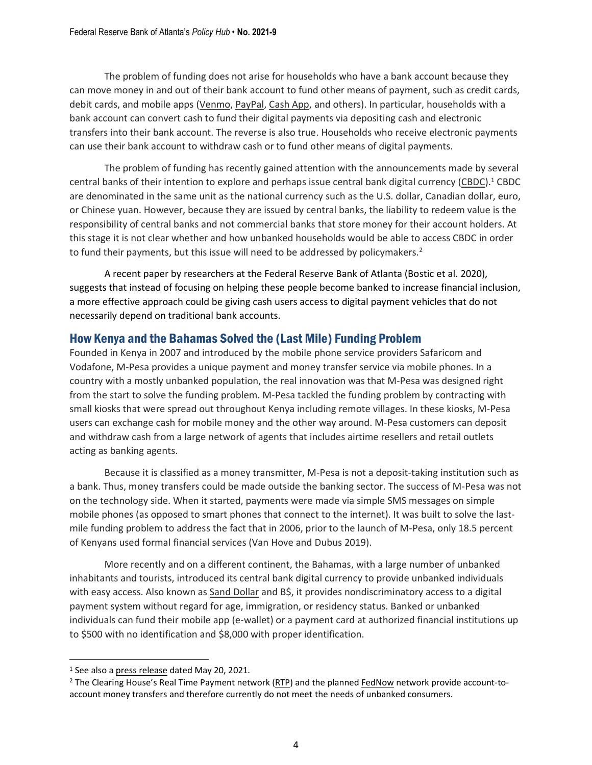The problem of funding does not arise for households who have a bank account because they can move money in and out of their bank account to fund other means of payment, such as credit cards, debit cards, and mobile apps [\(Venmo,](https://venmo.com/) [PayPal,](https://www.paypal.com/) [Cash](https://cash.app/) App, and others). In particular, households with a bank account can convert cash to fund their digital payments via depositing cash and electronic transfers into their bank account. The reverse is also true. Households who receive electronic payments can use their bank account to withdraw cash or to fund other means of digital payments.

The problem of funding has recently gained attention with the announcements made by several central banks of their intention to explore and perhaps issue central bank digital currency [\(CBDC\)](https://www.federalreserve.gov/faqs/what-is-a-central-bank-digital-currency.htm).<sup>1</sup> CBDC are denominated in the same unit as the national currency such as the U.S. dollar, Canadian dollar, euro, or Chinese yuan. However, because they are issued by central banks, the liability to redeem value is the responsibility of central banks and not commercial banks that store money for their account holders. At this stage it is not clear whether and how unbanked households would be able to access CBDC in order to fund their payments, but this issue will need to be addressed by policymakers.<sup>2</sup>

A recent paper by researchers at the Federal Reserve Bank of Atlanta (Bostic et al. 2020), suggests that instead of focusing on helping these people become banked to increase financial inclusion, a more effective approach could be giving cash users access to digital payment vehicles that do not necessarily depend on traditional bank accounts.

#### How Kenya and the Bahamas Solved the (Last Mile) Funding Problem

Founded in Kenya in 2007 and introduced by the mobile phone service providers Safaricom and Vodafone, M-Pesa provides a unique payment and money transfer service via mobile phones. In a country with a mostly unbanked population, the real innovation was that M-Pesa was designed right from the start to solve the funding problem. M-Pesa tackled the funding problem by contracting with small kiosks that were spread out throughout Kenya including remote villages. In these kiosks, M-Pesa users can exchange cash for mobile money and the other way around. M-Pesa customers can deposit and withdraw cash from a large network of agents that includes airtime resellers and retail outlets acting as banking agents.

Because it is classified as a money transmitter, M-Pesa is not a deposit-taking institution such as a bank. Thus, money transfers could be made outside the banking sector. The success of M-Pesa was not on the technology side. When it started, payments were made via simple SMS messages on simple mobile phones (as opposed to smart phones that connect to the internet). It was built to solve the lastmile funding problem to address the fact that in 2006, prior to the launch of M-Pesa, only 18.5 percent of Kenyans used formal financial services (Van Hove and Dubus 2019).

More recently and on a different continent, the Bahamas, with a large number of unbanked inhabitants and tourists, introduced its central bank digital currency to provide unbanked individuals with easy access. Also known as Sand [Dollar](https://www.sanddollar.bs/) and B\$, it provides nondiscriminatory access to a digital payment system without regard for age, immigration, or residency status. Banked or unbanked individuals can fund their mobile app (e-wallet) or a payment card at authorized financial institutions up to \$500 with no identification and \$8,000 with proper identification.

<sup>1</sup> See also a press [release](https://www.federalreserve.gov/newsevents/pressreleases/other20210520b.htm) dated May 20, 2021.

<sup>2</sup> The Clearing House's Real Time Payment network [\(RTP\)](https://www.theclearinghouse.org/payment-systems/rtp) and the planned [FedNow](https://www.frbservices.org/financial-services/fednow/instant-payments-education/instant-payments-could-alleviate-bill-pay-pain-points.html) network provide account-toaccount money transfers and therefore currently do not meet the needs of unbanked consumers.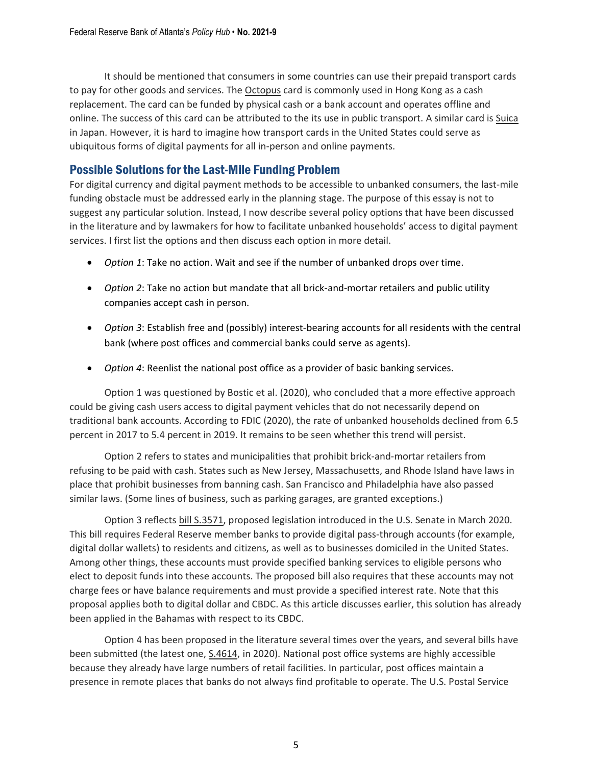It should be mentioned that consumers in some countries can use their prepaid transport cards to pay for other goods and services. The **[Octopus](https://www.octopus.com.hk/en)** card is commonly used in Hong Kong as a cash replacement. The card can be funded by physical cash or a bank account and operates offline and online. The success of this card can be attributed to the its use in public transport. A similar card is [Suica](https://www.jreast.co.jp/e/pass/suica.html) in Japan. However, it is hard to imagine how transport cards in the United States could serve as ubiquitous forms of digital payments for all in-person and online payments.

#### Possible Solutions for the Last-Mile Funding Problem

For digital currency and digital payment methods to be accessible to unbanked consumers, the last-mile funding obstacle must be addressed early in the planning stage. The purpose of this essay is not to suggest any particular solution. Instead, I now describe several policy options that have been discussed in the literature and by lawmakers for how to facilitate unbanked households' access to digital payment services. I first list the options and then discuss each option in more detail.

- *Option 1*: Take no action. Wait and see if the number of unbanked drops over time.
- *Option 2*: Take no action but mandate that all brick-and-mortar retailers and public utility companies accept cash in person.
- *Option 3*: Establish free and (possibly) interest-bearing accounts for all residents with the central bank (where post offices and commercial banks could serve as agents).
- *Option 4*: Reenlist the national post office as a provider of basic banking services.

Option 1 was questioned by Bostic et al. (2020), who concluded that a more effective approach could be giving cash users access to digital payment vehicles that do not necessarily depend on traditional bank accounts. According to FDIC (2020), the rate of unbanked households declined from 6.5 percent in 2017 to 5.4 percent in 2019. It remains to be seen whether this trend will persist.

Option 2 refers to states and municipalities that prohibit brick-and-mortar retailers from refusing to be paid with cash. States such as New Jersey, Massachusetts, and Rhode Island have laws in place that prohibit businesses from banning cash. San Francisco and Philadelphia have also passed similar laws. (Some lines of business, such as parking garages, are granted exceptions.)

Option 3 reflects bill [S.3571,](https://www.congress.gov/bill/116th-congress/senate-bill/3571) proposed legislation introduced in the U.S. Senate in March 2020. This bill requires Federal Reserve member banks to provide digital pass-through accounts (for example, digital dollar wallets) to residents and citizens, as well as to businesses domiciled in the United States. Among other things, these accounts must provide specified banking services to eligible persons who elect to deposit funds into these accounts. The proposed bill also requires that these accounts may not charge fees or have balance requirements and must provide a specified interest rate. Note that this proposal applies both to digital dollar and CBDC. As this article discusses earlier, this solution has already been applied in the Bahamas with respect to its CBDC.

Option 4 has been proposed in the literature several times over the years, and several bills have been submitted (the latest one, [S.4614,](https://www.congress.gov/bill/116th-congress/senate-bill/4614) in 2020). National post office systems are highly accessible because they already have large numbers of retail facilities. In particular, post offices maintain a presence in remote places that banks do not always find profitable to operate. The U.S. Postal Service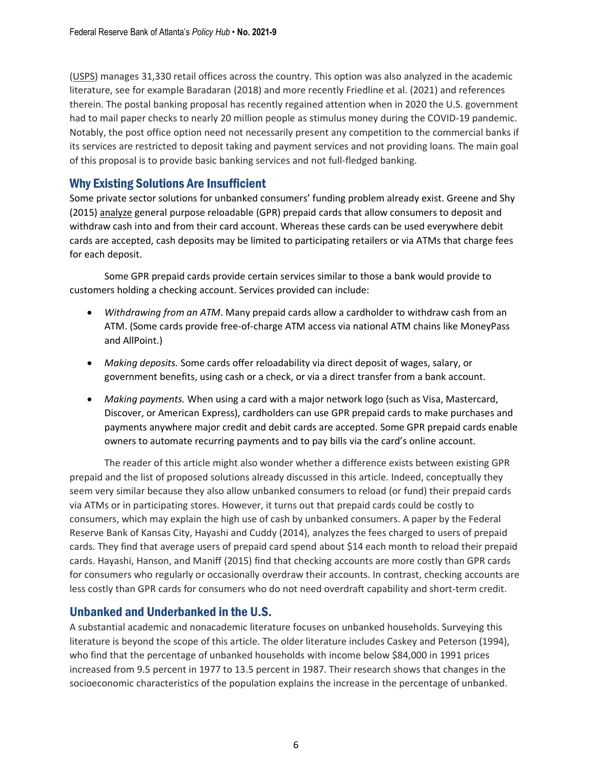[\(USPS\)](https://facts.usps.com/size-and-scope/) manages 31,330 retail offices across the country. This option was also analyzed in the academic literature, see for example Baradaran (2018) and more recently Friedline et al. (2021) and references therein. The postal banking proposal has recently regained attention when in 2020 the U.S. government had to mail paper checks to nearly 20 million people as stimulus money during the COVID-19 pandemic. Notably, the post office option need not necessarily present any competition to the commercial banks if its services are restricted to deposit taking and payment services and not providing loans. The main goal of this proposal is to provide basic banking services and not full-fledged banking.

#### Why Existing Solutions Are Insufficient

Some private sector solutions for unbanked consumers' funding problem already exist. Greene and Shy (2015) [analyze](https://www.bostonfed.org/publications/research-data-report/2015/how-are-us-consumers-using-general-purpose-reloadable-prepaid-cards-are-they-being-used-as-substitutes-for-checking-accounts.aspx) general purpose reloadable (GPR) prepaid cards that allow consumers to deposit and withdraw cash into and from their card account. Whereas these cards can be used everywhere debit cards are accepted, cash deposits may be limited to participating retailers or via ATMs that charge fees for each deposit.

Some GPR prepaid cards provide certain services similar to those a bank would provide to customers holding a checking account. Services provided can include:

- *Withdrawing from an ATM*. Many prepaid cards allow a cardholder to withdraw cash from an ATM. (Some cards provide free‐of‐charge ATM access via national ATM chains like MoneyPass and AllPoint.)
- *Making deposits.* Some cards offer reloadability via direct deposit of wages, salary, or government benefits, using cash or a check, or via a direct transfer from a bank account.
- *Making payments.* When using a card with a major network logo (such as Visa, Mastercard, Discover, or American Express), cardholders can use GPR prepaid cards to make purchases and payments anywhere major credit and debit cards are accepted. Some GPR prepaid cards enable owners to automate recurring payments and to pay bills via the card's online account.

The reader of this article might also wonder whether a difference exists between existing GPR prepaid and the list of proposed solutions already discussed in this article. Indeed, conceptually they seem very similar because they also allow unbanked consumers to reload (or fund) their prepaid cards via ATMs or in participating stores. However, it turns out that prepaid cards could be costly to consumers, which may explain the high use of cash by unbanked consumers. A paper by the Federal Reserve Bank of Kansas City, Hayashi and Cuddy (2014), analyzes the fees charged to users of prepaid cards. They find that average users of prepaid card spend about \$14 each month to reload their prepaid cards. Hayashi, Hanson, and Maniff (2015) find that checking accounts are more costly than GPR cards for consumers who regularly or occasionally overdraw their accounts. In contrast, checking accounts are less costly than GPR cards for consumers who do not need overdraft capability and short-term credit.

#### Unbanked and Underbanked in the U.S.

A substantial academic and nonacademic literature focuses on unbanked households. Surveying this literature is beyond the scope of this article. The older literature includes Caskey and Peterson (1994), who find that the percentage of unbanked households with income below \$84,000 in 1991 prices increased from 9.5 percent in 1977 to 13.5 percent in 1987. Their research shows that changes in the socioeconomic characteristics of the population explains the increase in the percentage of unbanked.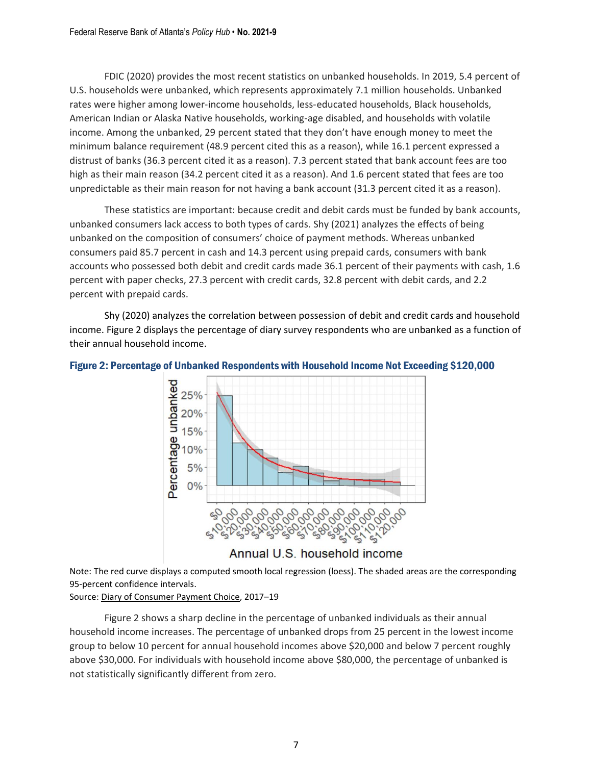FDIC (2020) provides the most recent statistics on unbanked households. In 2019, 5.4 percent of U.S. households were unbanked, which represents approximately 7.1 million households. Unbanked rates were higher among lower-income households, less-educated households, Black households, American Indian or Alaska Native households, working-age disabled, and households with volatile income. Among the unbanked, 29 percent stated that they don't have enough money to meet the minimum balance requirement (48.9 percent cited this as a reason), while 16.1 percent expressed a distrust of banks (36.3 percent cited it as a reason). 7.3 percent stated that bank account fees are too high as their main reason (34.2 percent cited it as a reason). And 1.6 percent stated that fees are too unpredictable as their main reason for not having a bank account (31.3 percent cited it as a reason).

These statistics are important: because credit and debit cards must be funded by bank accounts, unbanked consumers lack access to both types of cards. Shy (2021) analyzes the effects of being unbanked on the composition of consumers' choice of payment methods. Whereas unbanked consumers paid 85.7 percent in cash and 14.3 percent using prepaid cards, consumers with bank accounts who possessed both debit and credit cards made 36.1 percent of their payments with cash, 1.6 percent with paper checks, 27.3 percent with credit cards, 32.8 percent with debit cards, and 2.2 percent with prepaid cards.

Shy (2020) analyzes the correlation between possession of debit and credit cards and household income. Figure 2 displays the percentage of diary survey respondents who are unbanked as a function of their annual household income.



Figure 2: Percentage of Unbanked Respondents with Household Income Not Exceeding \$120,000

Note: The red curve displays a computed smooth local regression (loess). The shaded areas are the corresponding 95-percent confidence intervals.

Source: Diary of [Consumer](https://www.atlantafed.org/banking-and-payments/consumer-payments/diary-of-consumer-payment-choice) Payment Choice, 2017–19

Figure 2 shows a sharp decline in the percentage of unbanked individuals as their annual household income increases. The percentage of unbanked drops from 25 percent in the lowest income group to below 10 percent for annual household incomes above \$20,000 and below 7 percent roughly above \$30,000. For individuals with household income above \$80,000, the percentage of unbanked is not statistically significantly different from zero.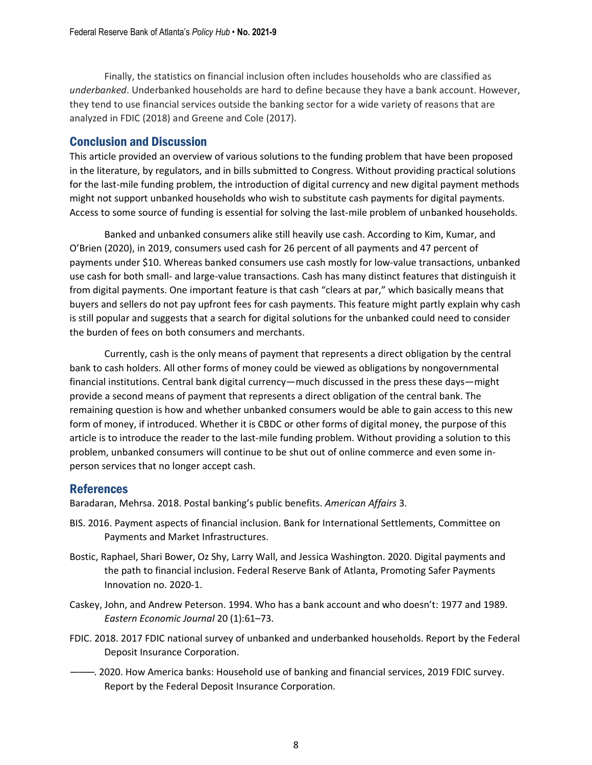Finally, the statistics on financial inclusion often includes households who are classified as *underbanked*. Underbanked households are hard to define because they have a bank account. However, they tend to use financial services outside the banking sector for a wide variety of reasons that are analyzed in FDIC (2018) and Greene and Cole (2017).

#### Conclusion and Discussion

This article provided an overview of various solutions to the funding problem that have been proposed in the literature, by regulators, and in bills submitted to Congress. Without providing practical solutions for the last-mile funding problem, the introduction of digital currency and new digital payment methods might not support unbanked households who wish to substitute cash payments for digital payments. Access to some source of funding is essential for solving the last-mile problem of unbanked households.

Banked and unbanked consumers alike still heavily use cash. According to Kim, Kumar, and O'Brien (2020), in 2019, consumers used cash for 26 percent of all payments and 47 percent of payments under \$10. Whereas banked consumers use cash mostly for low-value transactions, unbanked use cash for both small- and large-value transactions. Cash has many distinct features that distinguish it from digital payments. One important feature is that cash "clears at par," which basically means that buyers and sellers do not pay upfront fees for cash payments. This feature might partly explain why cash is still popular and suggests that a search for digital solutions for the unbanked could need to consider the burden of fees on both consumers and merchants.

Currently, cash is the only means of payment that represents a direct obligation by the central bank to cash holders. All other forms of money could be viewed as obligations by nongovernmental financial institutions. Central bank digital currency—much discussed in the press these days—might provide a second means of payment that represents a direct obligation of the central bank. The remaining question is how and whether unbanked consumers would be able to gain access to this new form of money, if introduced. Whether it is CBDC or other forms of digital money, the purpose of this article is to introduce the reader to the last-mile funding problem. Without providing a solution to this problem, unbanked consumers will continue to be shut out of online commerce and even some inperson services that no longer accept cash.

#### References

Baradaran, Mehrsa. 2018. Postal banking's public benefits. *American Affairs* 3.

- BIS. 2016. Payment aspects of financial inclusion. Bank for International Settlements, Committee on Payments and Market Infrastructures.
- Bostic, Raphael, Shari Bower, Oz Shy, Larry Wall, and Jessica Washington. 2020. Digital payments and the path to financial inclusion. Federal Reserve Bank of Atlanta, Promoting Safer Payments Innovation no. 2020-1.
- Caskey, John, and Andrew Peterson. 1994. Who has a bank account and who doesn't: 1977 and 1989. *Eastern Economic Journal* 20 (1):61–73.
- FDIC. 2018. 2017 FDIC national survey of unbanked and underbanked households. Report by the Federal Deposit Insurance Corporation.
- ———. 2020. How America banks: Household use of banking and financial services, 2019 FDIC survey. Report by the Federal Deposit Insurance Corporation.